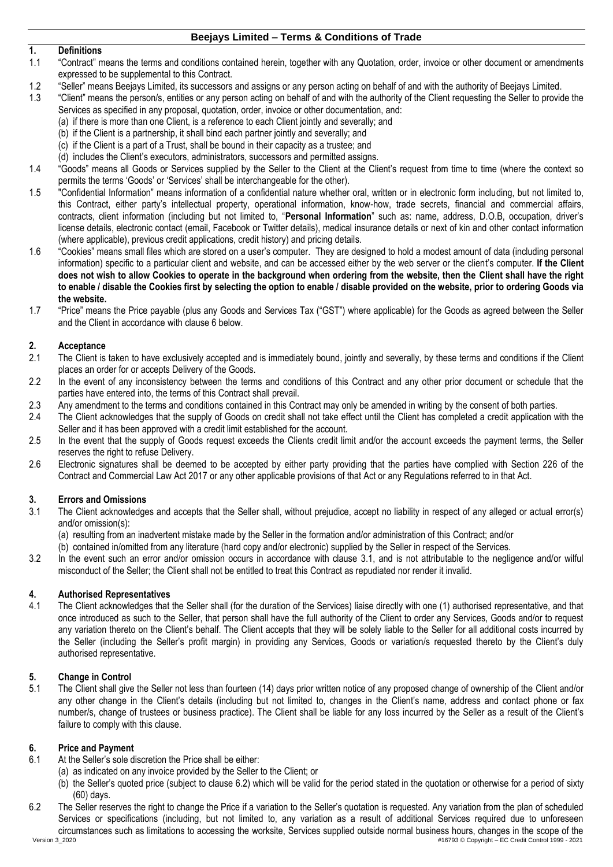# **1. Definitions**

- 1.1 "Contract" means the terms and conditions contained herein, together with any Quotation, order, invoice or other document or amendments expressed to be supplemental to this Contract.
- 1.2 "Seller" means Beejays Limited, its successors and assigns or any person acting on behalf of and with the authority of Beejays Limited.<br>1.3 "Client" means the person/s, entities or any person acting on behalf of and wi
	- 1.3 "Client" means the person/s, entities or any person acting on behalf of and with the authority of the Client requesting the Seller to provide the Services as specified in any proposal, quotation, order, invoice or other documentation, and:
		- (a) if there is more than one Client, is a reference to each Client jointly and severally; and
			- (b) if the Client is a partnership, it shall bind each partner jointly and severally; and
		- (c) if the Client is a part of a Trust, shall be bound in their capacity as a trustee; and
		- (d) includes the Client's executors, administrators, successors and permitted assigns.
- 1.4 "Goods" means all Goods or Services supplied by the Seller to the Client at the Client's request from time to time (where the context so permits the terms 'Goods' or 'Services' shall be interchangeable for the other).
- 1.5 "Confidential Information" means information of a confidential nature whether oral, written or in electronic form including, but not limited to, this Contract, either party's intellectual property, operational information, know-how, trade secrets, financial and commercial affairs, contracts, client information (including but not limited to, "**Personal Information**" such as: name, address, D.O.B, occupation, driver's license details, electronic contact (email, Facebook or Twitter details), medical insurance details or next of kin and other contact information (where applicable), previous credit applications, credit history) and pricing details.
- 1.6 "Cookies" means small files which are stored on a user's computer. They are designed to hold a modest amount of data (including personal information) specific to a particular client and website, and can be accessed either by the web server or the client's computer. **If the Client does not wish to allow Cookies to operate in the background when ordering from the website, then the Client shall have the right to enable / disable the Cookies first by selecting the option to enable / disable provided on the website, prior to ordering Goods via the website.**
- 1.7 "Price" means the Price payable (plus any Goods and Services Tax ("GST") where applicable) for the Goods as agreed between the Seller and the Client in accordance with clause [6](#page-0-0) below.

# **2. Acceptance**

- The Client is taken to have exclusively accepted and is immediately bound, jointly and severally, by these terms and conditions if the Client places an order for or accepts Delivery of the Goods.
- 2.2 In the event of any inconsistency between the terms and conditions of this Contract and any other prior document or schedule that the parties have entered into, the terms of this Contract shall prevail.
- 2.3 Any amendment to the terms and conditions contained in this Contract may only be amended in writing by the consent of both parties.
- 2.4 The Client acknowledges that the supply of Goods on credit shall not take effect until the Client has completed a credit application with the Seller and it has been approved with a credit limit established for the account.
- 2.5 In the event that the supply of Goods request exceeds the Clients credit limit and/or the account exceeds the payment terms, the Seller reserves the right to refuse Delivery.
- 2.6 Electronic signatures shall be deemed to be accepted by either party providing that the parties have complied with Section 226 of the Contract and Commercial Law Act 2017 or any other applicable provisions of that Act or any Regulations referred to in that Act.

## **3. Errors and Omissions**

<span id="page-0-1"></span>3.1 The Client acknowledges and accepts that the Seller shall, without prejudice, accept no liability in respect of any alleged or actual error(s) and/or omission(s):

(a) resulting from an inadvertent mistake made by the Seller in the formation and/or administration of this Contract; and/or

(b) contained in/omitted from any literature (hard copy and/or electronic) supplied by the Seller in respect of the Services.

3.2 In the event such an error and/or omission occurs in accordance with clause [3.1,](#page-0-1) and is not attributable to the negligence and/or wilful misconduct of the Seller; the Client shall not be entitled to treat this Contract as repudiated nor render it invalid.

## **4. Authorised Representatives**

4.1 The Client acknowledges that the Seller shall (for the duration of the Services) liaise directly with one (1) authorised representative, and that once introduced as such to the Seller, that person shall have the full authority of the Client to order any Services, Goods and/or to request any variation thereto on the Client's behalf. The Client accepts that they will be solely liable to the Seller for all additional costs incurred by the Seller (including the Seller's profit margin) in providing any Services, Goods or variation/s requested thereto by the Client's duly authorised representative.

## **5. Change in Control**

5.1 The Client shall give the Seller not less than fourteen (14) days prior written notice of any proposed change of ownership of the Client and/or any other change in the Client's details (including but not limited to, changes in the Client's name, address and contact phone or fax number/s, change of trustees or business practice). The Client shall be liable for any loss incurred by the Seller as a result of the Client's failure to comply with this clause.

#### <span id="page-0-0"></span>**6. Price and Payment**

- 6.1 At the Seller's sole discretion the Price shall be either:
	- (a) as indicated on any invoice provided by the Seller to the Client; or
	- (b) the Seller's quoted price (subject to clause [6.2\)](#page-0-2) which will be valid for the period stated in the quotation or otherwise for a period of sixty (60) days.
- <span id="page-0-2"></span>6.2 The Seller reserves the right to change the Price if a variation to the Seller's quotation is requested. Any variation from the plan of scheduled Services or specifications (including, but not limited to, any variation as a result of additional Services required due to unforeseen circumstances such as limitations to accessing the worksite, Services supplied outside normal business hours, changes in the scope of the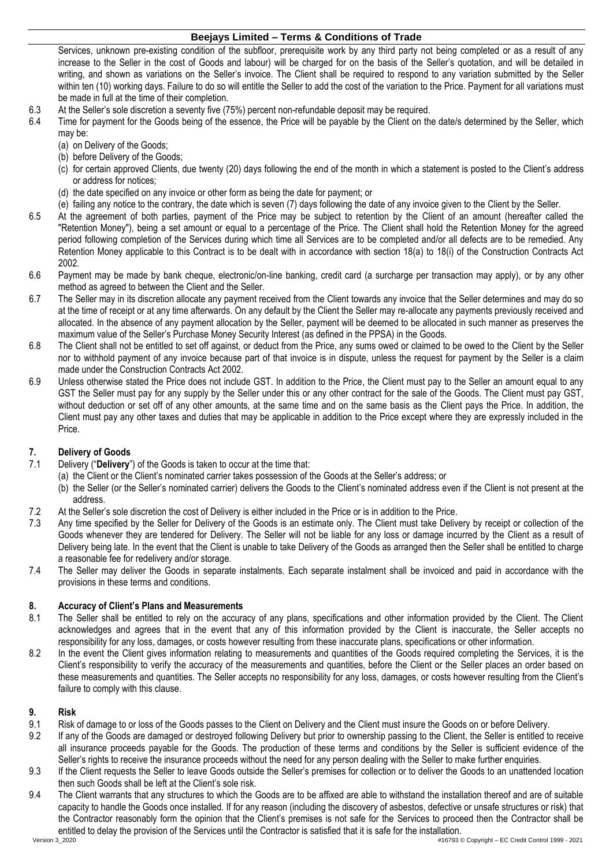Services, unknown pre-existing condition of the subfloor, prerequisite work by any third party not being completed or as a result of any increase to the Seller in the cost of Goods and labour) will be charged for on the basis of the Seller's quotation, and will be detailed in writing, and shown as variations on the Seller's invoice. The Client shall be required to respond to any variation submitted by the Seller within ten (10) working days. Failure to do so will entitle the Seller to add the cost of the variation to the Price. Payment for all variations must be made in full at the time of their completion.

- 6.3 At the Seller's sole discretion a seventy five (75%) percent non-refundable deposit may be required.
- Time for payment for the Goods being of the essence, the Price will be payable by the Client on the date/s determined by the Seller, which may be:
	- (a) on Delivery of the Goods;
	- (b) before Delivery of the Goods;
	- (c) for certain approved Clients, due twenty (20) days following the end of the month in which a statement is posted to the Client's address or address for notices;
	- (d) the date specified on any invoice or other form as being the date for payment; or
	- (e) failing any notice to the contrary, the date which is seven (7) days following the date of any invoice given to the Client by the Seller.
- 6.5 At the agreement of both parties, payment of the Price may be subject to retention by the Client of an amount (hereafter called the "Retention Money"), being a set amount or equal to a percentage of the Price. The Client shall hold the Retention Money for the agreed period following completion of the Services during which time all Services are to be completed and/or all defects are to be remedied. Any Retention Money applicable to this Contract is to be dealt with in accordance with section 18(a) to 18(i) of the Construction Contracts Act 2002.
- 6.6 Payment may be made by bank cheque, electronic/on-line banking, credit card (a surcharge per transaction may apply), or by any other method as agreed to between the Client and the Seller.
- 6.7 The Seller may in its discretion allocate any payment received from the Client towards any invoice that the Seller determines and may do so at the time of receipt or at any time afterwards. On any default by the Client the Seller may re-allocate any payments previously received and allocated. In the absence of any payment allocation by the Seller, payment will be deemed to be allocated in such manner as preserves the maximum value of the Seller's Purchase Money Security Interest (as defined in the PPSA) in the Goods.
- 6.8 The Client shall not be entitled to set off against, or deduct from the Price, any sums owed or claimed to be owed to the Client by the Seller nor to withhold payment of any invoice because part of that invoice is in dispute, unless the request for payment by the Seller is a claim made under the Construction Contracts Act 2002.
- 6.9 Unless otherwise stated the Price does not include GST. In addition to the Price, the Client must pay to the Seller an amount equal to any GST the Seller must pay for any supply by the Seller under this or any other contract for the sale of the Goods. The Client must pay GST, without deduction or set off of any other amounts, at the same time and on the same basis as the Client pays the Price. In addition, the Client must pay any other taxes and duties that may be applicable in addition to the Price except where they are expressly included in the Price.

## **7. Delivery of Goods**

- 7.1 Delivery ("**Delivery**") of the Goods is taken to occur at the time that:
	- (a) the Client or the Client's nominated carrier takes possession of the Goods at the Seller's address; or
	- (b) the Seller (or the Seller's nominated carrier) delivers the Goods to the Client's nominated address even if the Client is not present at the address.
- 7.2 At the Seller's sole discretion the cost of Delivery is either included in the Price or is in addition to the Price.
- 7.3 Any time specified by the Seller for Delivery of the Goods is an estimate only. The Client must take Delivery by receipt or collection of the Goods whenever they are tendered for Delivery. The Seller will not be liable for any loss or damage incurred by the Client as a result of Delivery being late. In the event that the Client is unable to take Delivery of the Goods as arranged then the Seller shall be entitled to charge a reasonable fee for redelivery and/or storage.
- 7.4 The Seller may deliver the Goods in separate instalments. Each separate instalment shall be invoiced and paid in accordance with the provisions in these terms and conditions.

#### **8. Accuracy of Client's Plans and Measurements**

- 8.1 The Seller shall be entitled to rely on the accuracy of any plans, specifications and other information provided by the Client. The Client acknowledges and agrees that in the event that any of this information provided by the Client is inaccurate, the Seller accepts no responsibility for any loss, damages, or costs however resulting from these inaccurate plans, specifications or other information.
- 8.2 In the event the Client gives information relating to measurements and quantities of the Goods required completing the Services, it is the Client's responsibility to verify the accuracy of the measurements and quantities, before the Client or the Seller places an order based on these measurements and quantities. The Seller accepts no responsibility for any loss, damages, or costs however resulting from the Client's failure to comply with this clause.

## **9. Risk**

- 9.1 Risk of damage to or loss of the Goods passes to the Client on Delivery and the Client must insure the Goods on or before Delivery.
- 9.2 If any of the Goods are damaged or destroyed following Delivery but prior to ownership passing to the Client, the Seller is entitled to receive all insurance proceeds payable for the Goods. The production of these terms and conditions by the Seller is sufficient evidence of the Seller's rights to receive the insurance proceeds without the need for any person dealing with the Seller to make further enquiries.
- 9.3 If the Client requests the Seller to leave Goods outside the Seller's premises for collection or to deliver the Goods to an unattended location then such Goods shall be left at the Client's sole risk.
- 9.4 The Client warrants that any structures to which the Goods are to be affixed are able to withstand the installation thereof and are of suitable capacity to handle the Goods once installed. If for any reason (including the discovery of asbestos, defective or unsafe structures or risk) that the Contractor reasonably form the opinion that the Client's premises is not safe for the Services to proceed then the Contractor shall be entitled to delay the provision of the Services until the Contractor is satisfied that it is safe for the installation.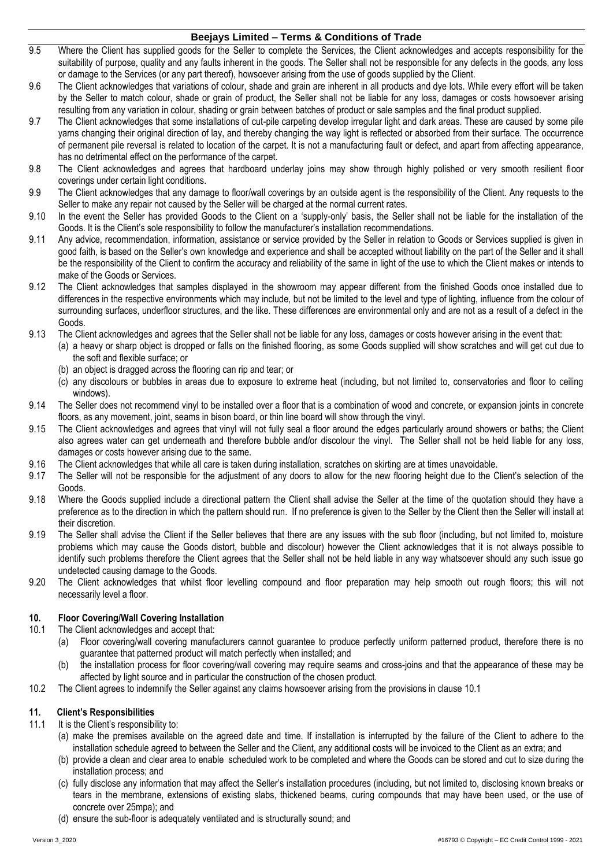- 9.5 Where the Client has supplied goods for the Seller to complete the Services, the Client acknowledges and accepts responsibility for the suitability of purpose, quality and any faults inherent in the goods. The Seller shall not be responsible for any defects in the goods, any loss or damage to the Services (or any part thereof), howsoever arising from the use of goods supplied by the Client.
- 9.6 The Client acknowledges that variations of colour, shade and grain are inherent in all products and dye lots. While every effort will be taken by the Seller to match colour, shade or grain of product, the Seller shall not be liable for any loss, damages or costs howsoever arising resulting from any variation in colour, shading or grain between batches of product or sale samples and the final product supplied.
- 9.7 The Client acknowledges that some installations of cut-pile carpeting develop irregular light and dark areas. These are caused by some pile yarns changing their original direction of lay, and thereby changing the way light is reflected or absorbed from their surface. The occurrence of permanent pile reversal is related to location of the carpet. It is not a manufacturing fault or defect, and apart from affecting appearance, has no detrimental effect on the performance of the carpet.
- 9.8 The Client acknowledges and agrees that hardboard underlay joins may show through highly polished or very smooth resilient floor coverings under certain light conditions.
- 9.9 The Client acknowledges that any damage to floor/wall coverings by an outside agent is the responsibility of the Client. Any requests to the Seller to make any repair not caused by the Seller will be charged at the normal current rates.
- 9.10 In the event the Seller has provided Goods to the Client on a 'supply-only' basis, the Seller shall not be liable for the installation of the Goods. It is the Client's sole responsibility to follow the manufacturer's installation recommendations.
- 9.11 Any advice, recommendation, information, assistance or service provided by the Seller in relation to Goods or Services supplied is given in good faith, is based on the Seller's own knowledge and experience and shall be accepted without liability on the part of the Seller and it shall be the responsibility of the Client to confirm the accuracy and reliability of the same in light of the use to which the Client makes or intends to make of the Goods or Services.
- 9.12 The Client acknowledges that samples displayed in the showroom may appear different from the finished Goods once installed due to differences in the respective environments which may include, but not be limited to the level and type of lighting, influence from the colour of surrounding surfaces, underfloor structures, and the like. These differences are environmental only and are not as a result of a defect in the Goods.
- 9.13 The Client acknowledges and agrees that the Seller shall not be liable for any loss, damages or costs however arising in the event that:
	- (a) a heavy or sharp object is dropped or falls on the finished flooring, as some Goods supplied will show scratches and will get cut due to the soft and flexible surface; or
		- (b) an object is dragged across the flooring can rip and tear; or
		- (c) any discolours or bubbles in areas due to exposure to extreme heat (including, but not limited to, conservatories and floor to ceiling windows).
- 9.14 The Seller does not recommend vinyl to be installed over a floor that is a combination of wood and concrete, or expansion joints in concrete floors, as any movement, joint, seams in bison board, or thin line board will show through the vinyl.
- 9.15 The Client acknowledges and agrees that vinyl will not fully seal a floor around the edges particularly around showers or baths; the Client also agrees water can get underneath and therefore bubble and/or discolour the vinyl. The Seller shall not be held liable for any loss, damages or costs however arising due to the same.
- 9.16 The Client acknowledges that while all care is taken during installation, scratches on skirting are at times unavoidable.
- 9.17 The Seller will not be responsible for the adjustment of any doors to allow for the new flooring height due to the Client's selection of the Goods.
- 9.18 Where the Goods supplied include a directional pattern the Client shall advise the Seller at the time of the quotation should they have a preference as to the direction in which the pattern should run. If no preference is given to the Seller by the Client then the Seller will install at their discretion.
- 9.19 The Seller shall advise the Client if the Seller believes that there are any issues with the sub floor (including, but not limited to, moisture problems which may cause the Goods distort, bubble and discolour) however the Client acknowledges that it is not always possible to identify such problems therefore the Client agrees that the Seller shall not be held liable in any way whatsoever should any such issue go undetected causing damage to the Goods.
- 9.20 The Client acknowledges that whilst floor levelling compound and floor preparation may help smooth out rough floors; this will not necessarily level a floor.

## **10. Floor Covering/Wall Covering Installation**

- <span id="page-2-0"></span>10.1 The Client acknowledges and accept that:
	- (a) Floor covering/wall covering manufacturers cannot guarantee to produce perfectly uniform patterned product, therefore there is no guarantee that patterned product will match perfectly when installed; and
	- (b) the installation process for floor covering/wall covering may require seams and cross-joins and that the appearance of these may be affected by light source and in particular the construction of the chosen product.
- 10.2 The Client agrees to indemnify the Seller against any claims howsoever arising from the provisions in clause [10.1](#page-2-0)

## **11. Client's Responsibilities**

- 11.1 It is the Client's responsibility to:
	- (a) make the premises available on the agreed date and time. If installation is interrupted by the failure of the Client to adhere to the installation schedule agreed to between the Seller and the Client, any additional costs will be invoiced to the Client as an extra; and
	- (b) provide a clean and clear area to enable scheduled work to be completed and where the Goods can be stored and cut to size during the installation process; and
	- (c) fully disclose any information that may affect the Seller's installation procedures (including, but not limited to, disclosing known breaks or tears in the membrane, extensions of existing slabs, thickened beams, curing compounds that may have been used, or the use of concrete over 25mpa); and
	- (d) ensure the sub-floor is adequately ventilated and is structurally sound; and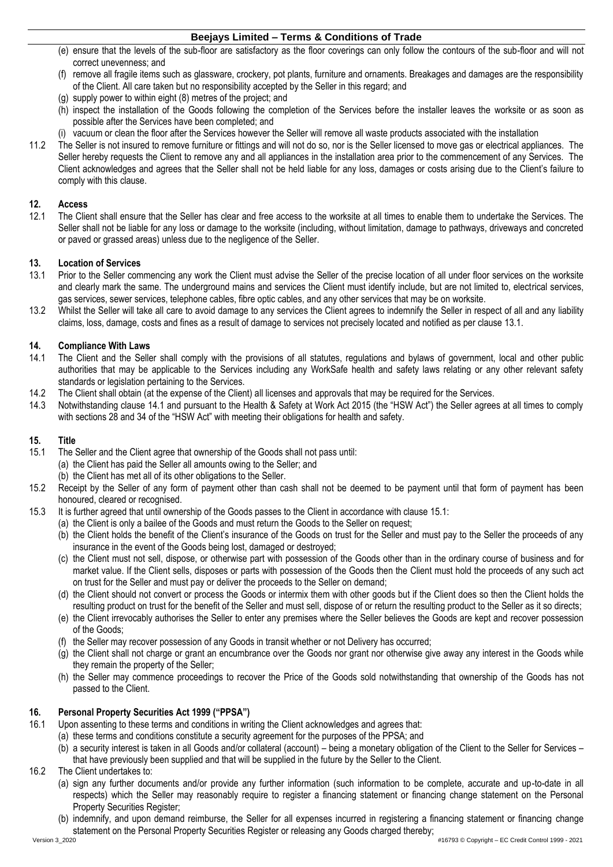- (e) ensure that the levels of the sub-floor are satisfactory as the floor coverings can only follow the contours of the sub-floor and will not correct unevenness; and
- (f) remove all fragile items such as glassware, crockery, pot plants, furniture and ornaments. Breakages and damages are the responsibility of the Client. All care taken but no responsibility accepted by the Seller in this regard; and
- (g) supply power to within eight (8) metres of the project; and
- (h) inspect the installation of the Goods following the completion of the Services before the installer leaves the worksite or as soon as possible after the Services have been completed; and
- (i) vacuum or clean the floor after the Services however the Seller will remove all waste products associated with the installation
- 11.2 The Seller is not insured to remove furniture or fittings and will not do so, nor is the Seller licensed to move gas or electrical appliances. The Seller hereby requests the Client to remove any and all appliances in the installation area prior to the commencement of any Services. The Client acknowledges and agrees that the Seller shall not be held liable for any loss, damages or costs arising due to the Client's failure to comply with this clause.

## **12. Access**

12.1 The Client shall ensure that the Seller has clear and free access to the worksite at all times to enable them to undertake the Services. The Seller shall not be liable for any loss or damage to the worksite (including, without limitation, damage to pathways, driveways and concreted or paved or grassed areas) unless due to the negligence of the Seller.

# **13. Location of Services**

- <span id="page-3-0"></span>Prior to the Seller commencing any work the Client must advise the Seller of the precise location of all under floor services on the worksite and clearly mark the same. The underground mains and services the Client must identify include, but are not limited to, electrical services, gas services, sewer services, telephone cables, fibre optic cables, and any other services that may be on worksite.
- 13.2 Whilst the Seller will take all care to avoid damage to any services the Client agrees to indemnify the Seller in respect of all and any liability claims, loss, damage, costs and fines as a result of damage to services not precisely located and notified as per clause [13.1.](#page-3-0)

# **14. Compliance With Laws**

- <span id="page-3-1"></span>The Client and the Seller shall comply with the provisions of all statutes, regulations and bylaws of government, local and other public authorities that may be applicable to the Services including any WorkSafe health and safety laws relating or any other relevant safety standards or legislation pertaining to the Services.
- 14.2 The Client shall obtain (at the expense of the Client) all licenses and approvals that may be required for the Services.<br>14.3 Notwithstanding clause 14.1 and pursuant to the Health & Safety at Work Act 2015 (the "HSW
- 14.3 Notwithstanding clause [14.1](#page-3-1) and pursuant to the Health & Safety at Work Act 2015 (the "HSW Act") the Seller agrees at all times to comply with sections 28 and 34 of the "HSW Act" with meeting their obligations for health and safety.

## **15. Title**

- <span id="page-3-2"></span>15.1 The Seller and the Client agree that ownership of the Goods shall not pass until:
	- (a) the Client has paid the Seller all amounts owing to the Seller; and
	- (b) the Client has met all of its other obligations to the Seller.
- 15.2 Receipt by the Seller of any form of payment other than cash shall not be deemed to be payment until that form of payment has been honoured, cleared or recognised.
- 15.3 It is further agreed that until ownership of the Goods passes to the Client in accordance with clause [15.1:](#page-3-2)
	- (a) the Client is only a bailee of the Goods and must return the Goods to the Seller on request;
	- (b) the Client holds the benefit of the Client's insurance of the Goods on trust for the Seller and must pay to the Seller the proceeds of any insurance in the event of the Goods being lost, damaged or destroyed;
	- (c) the Client must not sell, dispose, or otherwise part with possession of the Goods other than in the ordinary course of business and for market value. If the Client sells, disposes or parts with possession of the Goods then the Client must hold the proceeds of any such act on trust for the Seller and must pay or deliver the proceeds to the Seller on demand;
	- (d) the Client should not convert or process the Goods or intermix them with other goods but if the Client does so then the Client holds the resulting product on trust for the benefit of the Seller and must sell, dispose of or return the resulting product to the Seller as it so directs;
	- (e) the Client irrevocably authorises the Seller to enter any premises where the Seller believes the Goods are kept and recover possession of the Goods;
	- (f) the Seller may recover possession of any Goods in transit whether or not Delivery has occurred;
	- (g) the Client shall not charge or grant an encumbrance over the Goods nor grant nor otherwise give away any interest in the Goods while they remain the property of the Seller;
	- (h) the Seller may commence proceedings to recover the Price of the Goods sold notwithstanding that ownership of the Goods has not passed to the Client.

## <span id="page-3-4"></span>**16. Personal Property Securities Act 1999 ("PPSA")**

- <span id="page-3-3"></span>16.1 Upon assenting to these terms and conditions in writing the Client acknowledges and agrees that:
	- (a) these terms and conditions constitute a security agreement for the purposes of the PPSA; and
	- (b) a security interest is taken in all Goods and/or collateral (account) being a monetary obligation of the Client to the Seller for Services that have previously been supplied and that will be supplied in the future by the Seller to the Client.
- 16.2 The Client undertakes to:
	- (a) sign any further documents and/or provide any further information (such information to be complete, accurate and up-to-date in all respects) which the Seller may reasonably require to register a financing statement or financing change statement on the Personal Property Securities Register;
	- (b) indemnify, and upon demand reimburse, the Seller for all expenses incurred in registering a financing statement or financing change statement on the Personal Property Securities Register or releasing any Goods charged thereby;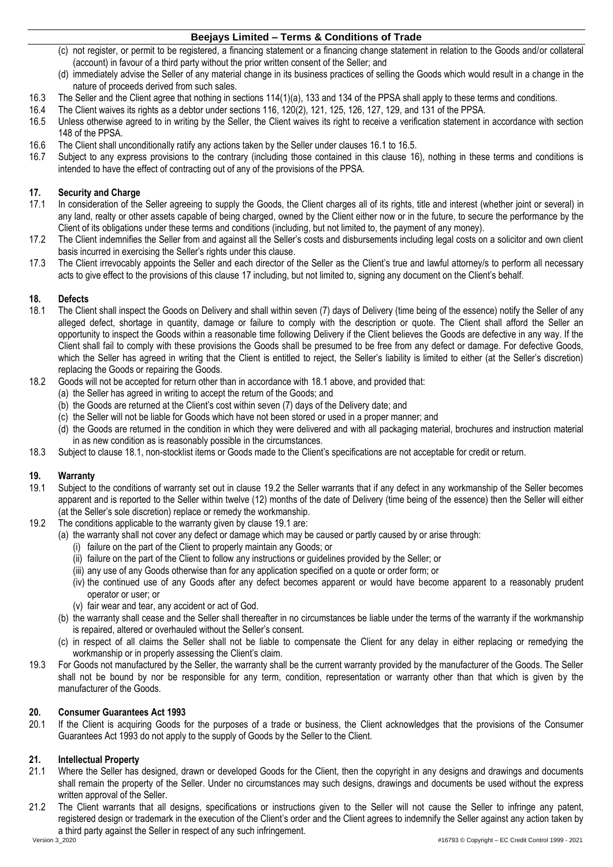- (c) not register, or permit to be registered, a financing statement or a financing change statement in relation to the Goods and/or collateral (account) in favour of a third party without the prior written consent of the Seller; and
- (d) immediately advise the Seller of any material change in its business practices of selling the Goods which would result in a change in the nature of proceeds derived from such sales.
- 16.3 The Seller and the Client agree that nothing in sections 114(1)(a), 133 and 134 of the PPSA shall apply to these terms and conditions.
- 16.4 The Client waives its rights as a debtor under sections 116, 120(2), 121, 125, 126, 127, 129, and 131 of the PPSA.
- <span id="page-4-0"></span>16.5 Unless otherwise agreed to in writing by the Seller, the Client waives its right to receive a verification statement in accordance with section 148 of the PPSA.
- 16.6 The Client shall unconditionally ratify any actions taken by the Seller under clauses [16.1](#page-3-3) to [16.5.](#page-4-0)
- Subject to any express provisions to the contrary (including those contained in this clause [16\)](#page-3-4), nothing in these terms and conditions is intended to have the effect of contracting out of any of the provisions of the PPSA.

## <span id="page-4-1"></span>**17. Security and Charge**

- 17.1 In consideration of the Seller agreeing to supply the Goods, the Client charges all of its rights, title and interest (whether joint or several) in any land, realty or other assets capable of being charged, owned by the Client either now or in the future, to secure the performance by the Client of its obligations under these terms and conditions (including, but not limited to, the payment of any money).
- 17.2 The Client indemnifies the Seller from and against all the Seller's costs and disbursements including legal costs on a solicitor and own client basis incurred in exercising the Seller's rights under this clause.
- 17.3 The Client irrevocably appoints the Seller and each director of the Seller as the Client's true and lawful attorney/s to perform all necessary acts to give effect to the provisions of this clause [17](#page-4-1) including, but not limited to, signing any document on the Client's behalf.

# **18. Defects**

- <span id="page-4-2"></span>18.1 The Client shall inspect the Goods on Delivery and shall within seven (7) days of Delivery (time being of the essence) notify the Seller of any alleged defect, shortage in quantity, damage or failure to comply with the description or quote. The Client shall afford the Seller an opportunity to inspect the Goods within a reasonable time following Delivery if the Client believes the Goods are defective in any way. If the Client shall fail to comply with these provisions the Goods shall be presumed to be free from any defect or damage. For defective Goods, which the Seller has agreed in writing that the Client is entitled to reject, the Seller's liability is limited to either (at the Seller's discretion) replacing the Goods or repairing the Goods.
- 18.2 Goods will not be accepted for return other than in accordance with [18.1](#page-4-2) above, and provided that:
	- (a) the Seller has agreed in writing to accept the return of the Goods; and
	- (b) the Goods are returned at the Client's cost within seven (7) days of the Delivery date; and
	- (c) the Seller will not be liable for Goods which have not been stored or used in a proper manner; and
	- (d) the Goods are returned in the condition in which they were delivered and with all packaging material, brochures and instruction material in as new condition as is reasonably possible in the circumstances.
- 18.3 Subject to clause [18.1,](#page-4-2) non-stocklist items or Goods made to the Client's specifications are not acceptable for credit or return.

## **19. Warranty**

- <span id="page-4-4"></span>19.1 Subject to the conditions of warranty set out in clause [19.2](#page-4-3) the Seller warrants that if any defect in any workmanship of the Seller becomes apparent and is reported to the Seller within twelve (12) months of the date of Delivery (time being of the essence) then the Seller will either (at the Seller's sole discretion) replace or remedy the workmanship.
- <span id="page-4-3"></span>19.2 The conditions applicable to the warranty given by clause [19.1](#page-4-4) are:
	- (a) the warranty shall not cover any defect or damage which may be caused or partly caused by or arise through:
		- (i) failure on the part of the Client to properly maintain any Goods; or
		- (ii) failure on the part of the Client to follow any instructions or guidelines provided by the Seller; or
		- (iii) any use of any Goods otherwise than for any application specified on a quote or order form; or
		- (iv) the continued use of any Goods after any defect becomes apparent or would have become apparent to a reasonably prudent operator or user; or
		- (v) fair wear and tear, any accident or act of God.
		- (b) the warranty shall cease and the Seller shall thereafter in no circumstances be liable under the terms of the warranty if the workmanship is repaired, altered or overhauled without the Seller's consent.
		- (c) in respect of all claims the Seller shall not be liable to compensate the Client for any delay in either replacing or remedying the workmanship or in properly assessing the Client's claim.
- 19.3 For Goods not manufactured by the Seller, the warranty shall be the current warranty provided by the manufacturer of the Goods. The Seller shall not be bound by nor be responsible for any term, condition, representation or warranty other than that which is given by the manufacturer of the Goods.

## **20. Consumer Guarantees Act 1993**

20.1 If the Client is acquiring Goods for the purposes of a trade or business, the Client acknowledges that the provisions of the Consumer Guarantees Act 1993 do not apply to the supply of Goods by the Seller to the Client.

## **21. Intellectual Property**

- 21.1 Where the Seller has designed, drawn or developed Goods for the Client, then the copyright in any designs and drawings and documents shall remain the property of the Seller. Under no circumstances may such designs, drawings and documents be used without the express written approval of the Seller.
- 21.2 The Client warrants that all designs, specifications or instructions given to the Seller will not cause the Seller to infringe any patent, registered design or trademark in the execution of the Client's order and the Client agrees to indemnify the Seller against any action taken by a third party against the Seller in respect of any such infringement.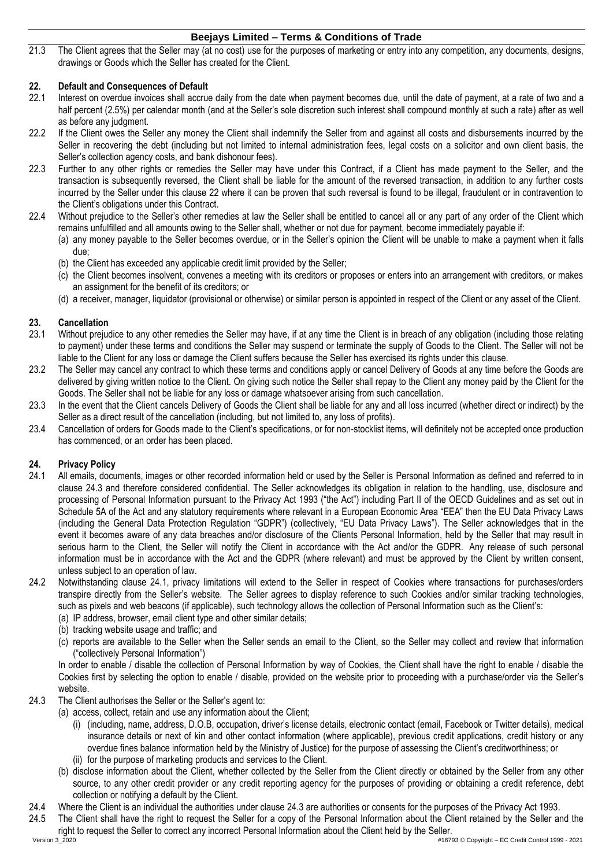21.3 The Client agrees that the Seller may (at no cost) use for the purposes of marketing or entry into any competition, any documents, designs, drawings or Goods which the Seller has created for the Client.

# <span id="page-5-0"></span>**22. Default and Consequences of Default**

- Interest on overdue invoices shall accrue daily from the date when payment becomes due, until the date of payment, at a rate of two and a half percent (2.5%) per calendar month (and at the Seller's sole discretion such interest shall compound monthly at such a rate) after as well as before any judgment.
- 22.2 If the Client owes the Seller any money the Client shall indemnify the Seller from and against all costs and disbursements incurred by the Seller in recovering the debt (including but not limited to internal administration fees, legal costs on a solicitor and own client basis, the Seller's collection agency costs, and bank dishonour fees).
- 22.3 Further to any other rights or remedies the Seller may have under this Contract, if a Client has made payment to the Seller, and the transaction is subsequently reversed, the Client shall be liable for the amount of the reversed transaction, in addition to any further costs incurred by the Seller under this clause [22](#page-5-0) where it can be proven that such reversal is found to be illegal, fraudulent or in contravention to the Client's obligations under this Contract.
- 22.4 Without prejudice to the Seller's other remedies at law the Seller shall be entitled to cancel all or any part of any order of the Client which remains unfulfilled and all amounts owing to the Seller shall, whether or not due for payment, become immediately payable if:
	- (a) any money payable to the Seller becomes overdue, or in the Seller's opinion the Client will be unable to make a payment when it falls due;
		- (b) the Client has exceeded any applicable credit limit provided by the Seller;
		- (c) the Client becomes insolvent, convenes a meeting with its creditors or proposes or enters into an arrangement with creditors, or makes an assignment for the benefit of its creditors; or
		- (d) a receiver, manager, liquidator (provisional or otherwise) or similar person is appointed in respect of the Client or any asset of the Client.

## **23. Cancellation**

- 23.1 Without prejudice to any other remedies the Seller may have, if at any time the Client is in breach of any obligation (including those relating to payment) under these terms and conditions the Seller may suspend or terminate the supply of Goods to the Client. The Seller will not be liable to the Client for any loss or damage the Client suffers because the Seller has exercised its rights under this clause.
- 23.2 The Seller may cancel any contract to which these terms and conditions apply or cancel Delivery of Goods at any time before the Goods are delivered by giving written notice to the Client. On giving such notice the Seller shall repay to the Client any money paid by the Client for the Goods. The Seller shall not be liable for any loss or damage whatsoever arising from such cancellation.
- 23.3 In the event that the Client cancels Delivery of Goods the Client shall be liable for any and all loss incurred (whether direct or indirect) by the Seller as a direct result of the cancellation (including, but not limited to, any loss of profits).
- 23.4 Cancellation of orders for Goods made to the Client's specifications, or for non-stocklist items, will definitely not be accepted once production has commenced, or an order has been placed.

## **24. Privacy Policy**

- <span id="page-5-2"></span>24.1 All emails, documents, images or other recorded information held or used by the Seller is Personal Information as defined and referred to in clause [24.3](#page-5-1) and therefore considered confidential. The Seller acknowledges its obligation in relation to the handling, use, disclosure and processing of Personal Information pursuant to the Privacy Act 1993 ("the Act") including Part II of the OECD Guidelines and as set out in Schedule 5A of the Act and any statutory requirements where relevant in a European Economic Area "EEA" then the EU Data Privacy Laws (including the General Data Protection Regulation "GDPR") (collectively, "EU Data Privacy Laws"). The Seller acknowledges that in the event it becomes aware of any data breaches and/or disclosure of the Clients Personal Information, held by the Seller that may result in serious harm to the Client, the Seller will notify the Client in accordance with the Act and/or the GDPR. Any release of such personal information must be in accordance with the Act and the GDPR (where relevant) and must be approved by the Client by written consent, unless subject to an operation of law.
- 24.2 Notwithstanding clause [24.1,](#page-5-2) privacy limitations will extend to the Seller in respect of Cookies where transactions for purchases/orders transpire directly from the Seller's website. The Seller agrees to display reference to such Cookies and/or similar tracking technologies, such as pixels and web beacons (if applicable), such technology allows the collection of Personal Information such as the Client's:
	- (a) IP address, browser, email client type and other similar details;
	- (b) tracking website usage and traffic; and
	- (c) reports are available to the Seller when the Seller sends an email to the Client, so the Seller may collect and review that information ("collectively Personal Information")

In order to enable / disable the collection of Personal Information by way of Cookies, the Client shall have the right to enable / disable the Cookies first by selecting the option to enable / disable, provided on the website prior to proceeding with a purchase/order via the Seller's website.

- <span id="page-5-1"></span>24.3 The Client authorises the Seller or the Seller's agent to:
	- (a) access, collect, retain and use any information about the Client;
		- (i) (including, name, address, D.O.B, occupation, driver's license details, electronic contact (email, Facebook or Twitter details), medical insurance details or next of kin and other contact information (where applicable), previous credit applications, credit history or any overdue fines balance information held by the Ministry of Justice) for the purpose of assessing the Client's creditworthiness; or (ii) for the purpose of marketing products and services to the Client.
		- (b) disclose information about the Client, whether collected by the Seller from the Client directly or obtained by the Seller from any other source, to any other credit provider or any credit reporting agency for the purposes of providing or obtaining a credit reference, debt collection or notifying a default by the Client.
- 24.4 Where the Client is an individual the authorities under clause [24.3](#page-5-1) are authorities or consents for the purposes of the Privacy Act 1993.
- 24.5 The Client shall have the right to request the Seller for a copy of the Personal Information about the Client retained by the Seller and the right to request the Seller to correct any incorrect Personal Information about the Client held by the Seller.

Version 3\_2020 #16793 © Copyright – EC Credit Control 1999 - 2021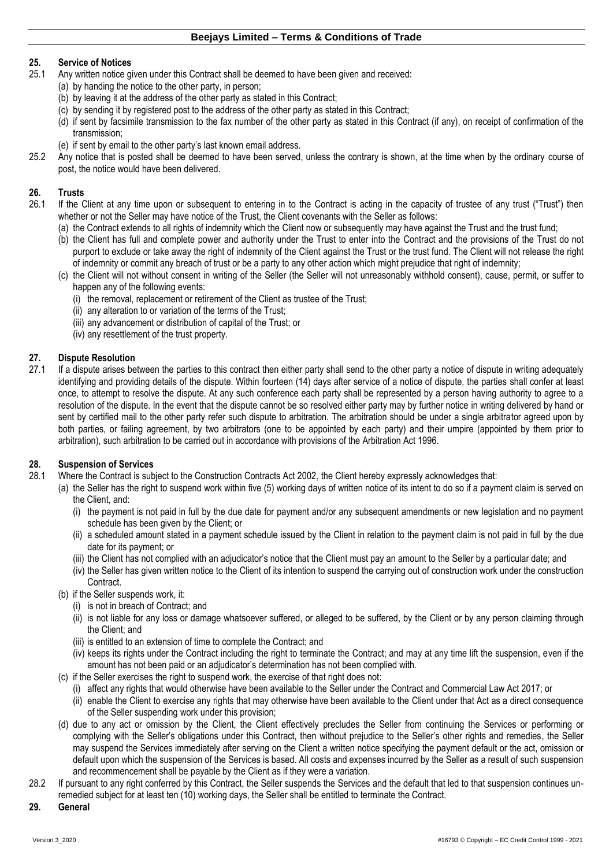# **25. Service of Notices**

- Any written notice given under this Contract shall be deemed to have been given and received:
	- (a) by handing the notice to the other party, in person;
	- (b) by leaving it at the address of the other party as stated in this Contract;
	- (c) by sending it by registered post to the address of the other party as stated in this Contract;
	- (d) if sent by facsimile transmission to the fax number of the other party as stated in this Contract (if any), on receipt of confirmation of the transmission;
	- (e) if sent by email to the other party's last known email address.
- 25.2 Any notice that is posted shall be deemed to have been served, unless the contrary is shown, at the time when by the ordinary course of post, the notice would have been delivered.

## **26. Trusts**

- If the Client at any time upon or subsequent to entering in to the Contract is acting in the capacity of trustee of any trust ("Trust") then whether or not the Seller may have notice of the Trust, the Client covenants with the Seller as follows:
	- (a) the Contract extends to all rights of indemnity which the Client now or subsequently may have against the Trust and the trust fund;
	- (b) the Client has full and complete power and authority under the Trust to enter into the Contract and the provisions of the Trust do not purport to exclude or take away the right of indemnity of the Client against the Trust or the trust fund. The Client will not release the right of indemnity or commit any breach of trust or be a party to any other action which might prejudice that right of indemnity;
	- (c) the Client will not without consent in writing of the Seller (the Seller will not unreasonably withhold consent), cause, permit, or suffer to happen any of the following events:
		- (i) the removal, replacement or retirement of the Client as trustee of the Trust;
		- (ii) any alteration to or variation of the terms of the Trust;
		- (iii) any advancement or distribution of capital of the Trust; or
		- (iv) any resettlement of the trust property.

## **27. Dispute Resolution**

27.1 If a dispute arises between the parties to this contract then either party shall send to the other party a notice of dispute in writing adequately identifying and providing details of the dispute. Within fourteen (14) days after service of a notice of dispute, the parties shall confer at least once, to attempt to resolve the dispute. At any such conference each party shall be represented by a person having authority to agree to a resolution of the dispute. In the event that the dispute cannot be so resolved either party may by further notice in writing delivered by hand or sent by certified mail to the other party refer such dispute to arbitration. The arbitration should be under a single arbitrator agreed upon by both parties, or failing agreement, by two arbitrators (one to be appointed by each party) and their umpire (appointed by them prior to arbitration), such arbitration to be carried out in accordance with provisions of the Arbitration Act 1996.

## **28. Suspension of Services**

- 28.1 Where the Contract is subject to the Construction Contracts Act 2002, the Client hereby expressly acknowledges that:
	- (a) the Seller has the right to suspend work within five (5) working days of written notice of its intent to do so if a payment claim is served on the Client, and:
		- (i) the payment is not paid in full by the due date for payment and/or any subsequent amendments or new legislation and no payment schedule has been given by the Client; or
		- (ii) a scheduled amount stated in a payment schedule issued by the Client in relation to the payment claim is not paid in full by the due date for its payment; or
		- (iii) the Client has not complied with an adjudicator's notice that the Client must pay an amount to the Seller by a particular date; and
		- (iv) the Seller has given written notice to the Client of its intention to suspend the carrying out of construction work under the construction Contract.
	- (b) if the Seller suspends work, it:
		- (i) is not in breach of Contract; and
		- (ii) is not liable for any loss or damage whatsoever suffered, or alleged to be suffered, by the Client or by any person claiming through the Client; and
		- (iii) is entitled to an extension of time to complete the Contract; and
		- (iv) keeps its rights under the Contract including the right to terminate the Contract; and may at any time lift the suspension, even if the amount has not been paid or an adjudicator's determination has not been complied with.
	- (c) if the Seller exercises the right to suspend work, the exercise of that right does not:
		- (i) affect any rights that would otherwise have been available to the Seller under the Contract and Commercial Law Act 2017; or
		- (ii) enable the Client to exercise any rights that may otherwise have been available to the Client under that Act as a direct consequence of the Seller suspending work under this provision;
	- (d) due to any act or omission by the Client, the Client effectively precludes the Seller from continuing the Services or performing or complying with the Seller's obligations under this Contract, then without prejudice to the Seller's other rights and remedies, the Seller may suspend the Services immediately after serving on the Client a written notice specifying the payment default or the act, omission or default upon which the suspension of the Services is based. All costs and expenses incurred by the Seller as a result of such suspension and recommencement shall be payable by the Client as if they were a variation.
- 28.2 If pursuant to any right conferred by this Contract, the Seller suspends the Services and the default that led to that suspension continues unremedied subject for at least ten (10) working days, the Seller shall be entitled to terminate the Contract.

#### **29. General**